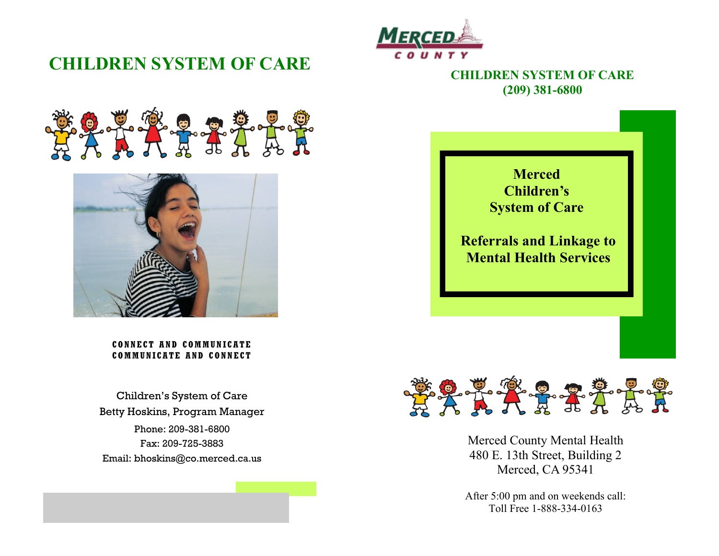## **CHILDREN SYSTEM OF CARE**



### **CHILDREN SYSTEM OF CARE (209) 381-6800**





**CONNECT AND COMMUNIC ATE COMMUNICATE AND CONNECT** 

Phone: 209-381-6800 Fax: 209-725-3883 Email: bhoskins@co.merced.ca.us Children's System of Care Betty Hoskins, Program Manager





Merced County Mental Health 480 E. 13th Street, Building 2 Merced, CA 95341

After 5:00 pm and on weekends call: Toll Free 1-888-334-0163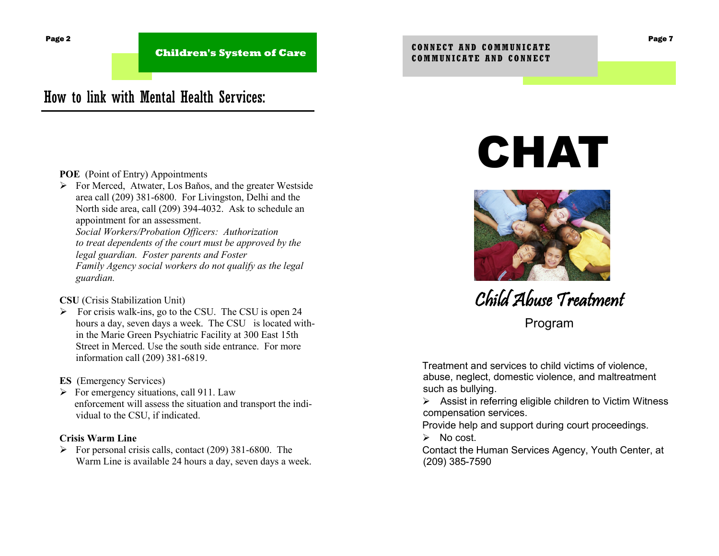**Children's System of Care**

## How to link with Mental Health Services:

#### **POE** (Point of Entry) Appointments

 For Merced, Atwater, Los Baňos, and the greater Westside area call (209) 381-6800. For Livingston, Delhi and the North side area, call (209) 394-4032. Ask to schedule an appointment for an assessment.

*Social Workers/Probation Officers: Authorization to treat dependents of the court must be approved by the legal guardian. Foster parents and Foster Family Agency social workers do not qualify as the legal guardian.*

#### **CSU** (Crisis Stabilization Unit)

 $\triangleright$  For crisis walk-ins, go to the CSU. The CSU is open 24 hours a day, seven days a week. The CSU is located within the Marie Green Psychiatric Facility at 300 East 15th Street in Merced. Use the south side entrance. For more information call (209) 381-6819.

#### **ES** (Emergency Services)

 $\triangleright$  For emergency situations, call 911. Law enforcement will assess the situation and transport the individual to the CSU, if indicated.

#### **Crisis Warm Line**

 $\triangleright$  For personal crisis calls, contact (209) 381-6800. The Warm Line is available 24 hours a day, seven days a week.

# CHAT



Child Abuse Treatment

Program

Treatment and services to child victims of violence, abuse, neglect, domestic violence, and maltreatment such as bullying.

 $\triangleright$  Assist in referring eligible children to Victim Witness compensation services.

Provide help and support during court proceedings.

 $\triangleright$  No cost.

Contact the Human Services Agency, Youth Center, at (209) 385-7590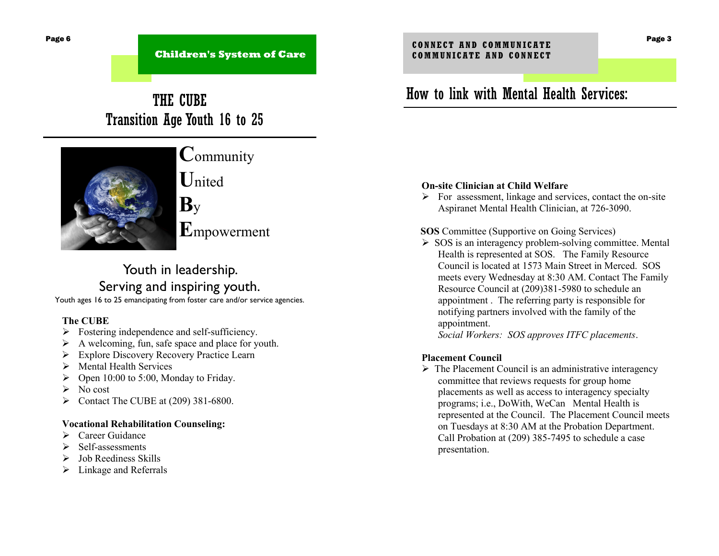**Children's System of Care**

## THE CUBE Transition Age Youth 16 to 25



## **C**ommunity

**U**nited

**B**y

**E**mpowerment

## Youth in leadership. Serving and inspiring youth.

Youth ages 16 to 25 emancipating from foster care and/or service agencies.

#### **The CUBE**

- $\triangleright$  Fostering independence and self-sufficiency.
- $\triangleright$  A welcoming, fun, safe space and place for youth.
- **Explore Discovery Recovery Practice Learn**
- $\triangleright$  Mental Health Services
- $\triangleright$  Open 10:00 to 5:00, Monday to Friday.
- $\triangleright$  No cost
- $\triangleright$  Contact The CUBE at (209) 381-6800.

#### **Vocational Rehabilitation Counseling:**

- $\triangleright$  Career Guidance
- $\triangleright$  Self-assessments
- $\triangleright$  Job Reediness Skills
- $\triangleright$  Linkage and Referrals

## How to link with Mental Health Services:

#### **On-site Clinician at Child Welfare**

 $\triangleright$  For assessment, linkage and services, contact the on-site Aspiranet Mental Health Clinician, at 726-3090.

#### **SOS** Committee (Supportive on Going Services)

 $\triangleright$  SOS is an interagency problem-solving committee. Mental Health is represented at SOS. The Family Resource Council is located at 1573 Main Street in Merced. SOS meets every Wednesday at 8:30 AM. Contact The Family Resource Council at (209)381-5980 to schedule an appointment . The referring party is responsible for notifying partners involved with the family of the appointment.

*Social Workers: SOS approves ITFC placements*.

#### **Placement Council**

 $\triangleright$  The Placement Council is an administrative interagency committee that reviews requests for group home placements as well as access to interagency specialty programs; i.e., DoWith, WeCan Mental Health is represented at the Council. The Placement Council meets on Tuesdays at 8:30 AM at the Probation Department. Call Probation at (209) 385-7495 to schedule a case presentation.